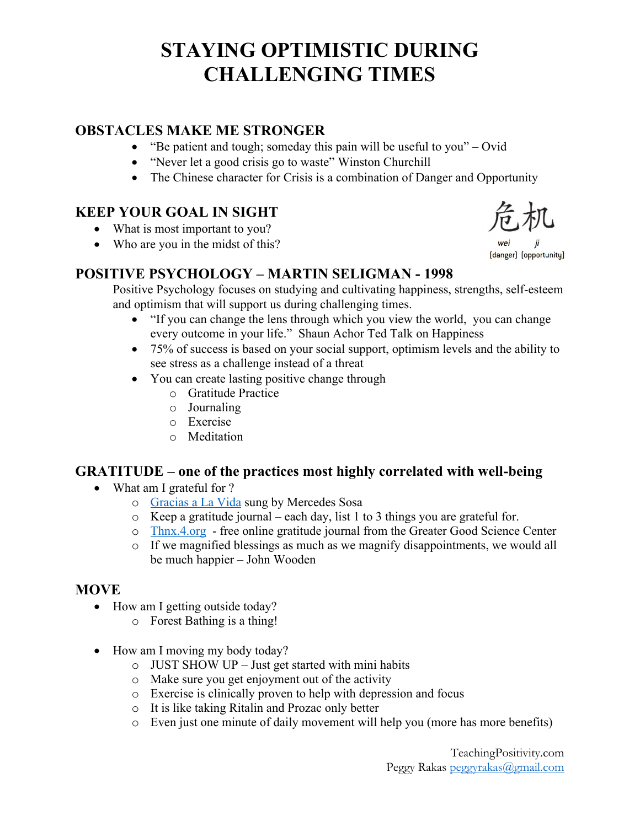# **STAYING OPTIMISTIC DURING CHALLENGING TIMES**

### **OBSTACLES MAKE ME STRONGER**

- "Be patient and tough; someday this pain will be useful to you" Ovid
- "Never let a good crisis go to waste" Winston Churchill
- The Chinese character for Crisis is a combination of Danger and Opportunity

### **KEEP YOUR GOAL IN SIGHT**

- What is most important to you?
- Who are you in the midst of this?

### **POSITIVE PSYCHOLOGY – MARTIN SELIGMAN - 1998**

Positive Psychology focuses on studying and cultivating happiness, strengths, self-esteem and optimism that will support us during challenging times.

- "If you can change the lens through which you view the world, you can change every outcome in your life." Shaun Achor Ted Talk on Happiness
- 75% of success is based on your social support, optimism levels and the ability to see stress as a challenge instead of a threat
- You can create lasting positive change through
	- o Gratitude Practice
	- o Journaling
	- o Exercise
	- o Meditation

### **GRATITUDE – one of the practices most highly correlated with well-being**

- What am I grateful for ?
	- o Gracias a La Vida sung by Mercedes Sosa
	- o Keep a gratitude journal each day, list 1 to 3 things you are grateful for.
	- o Thnx.4.org free online gratitude journal from the Greater Good Science Center
	- o If we magnified blessings as much as we magnify disappointments, we would all be much happier – John Wooden

### **MOVE**

- How am I getting outside today?
	- o Forest Bathing is a thing!
- How am I moving my body today?
	- o JUST SHOW UP Just get started with mini habits
	- o Make sure you get enjoyment out of the activity
	- o Exercise is clinically proven to help with depression and focus
	- o It is like taking Ritalin and Prozac only better
	- o Even just one minute of daily movement will help you (more has more benefits)

(danger) (opportunity)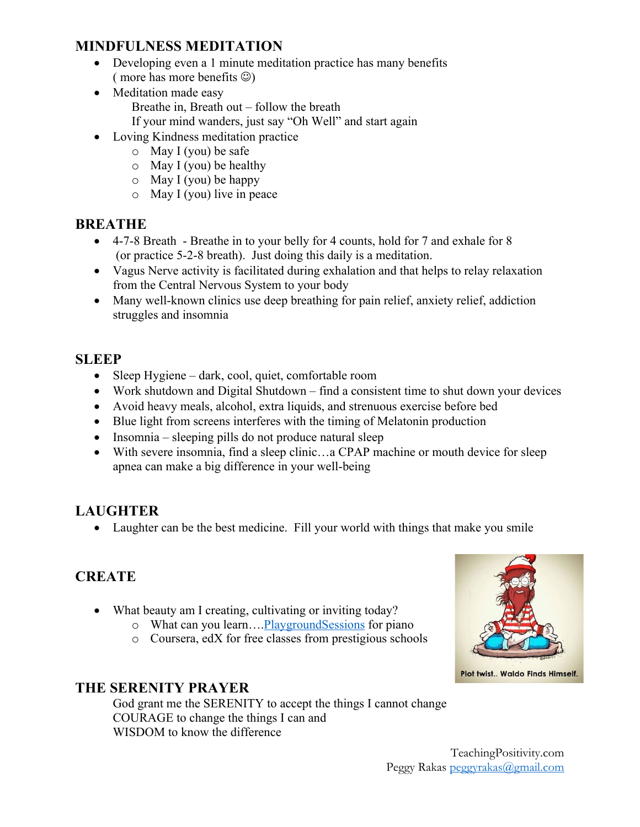### **MINDFULNESS MEDITATION**

- Developing even a 1 minute meditation practice has many benefits ( more has more benefits  $\circledcirc$ )
- Meditation made easy Breathe in, Breath out – follow the breath If your mind wanders, just say "Oh Well" and start again
- Loving Kindness meditation practice
	- o May I (you) be safe
	- $\circ$  May I (you) be healthy
	- $\circ$  May I (you) be happy
	- o May I (you) live in peace

### **BREATHE**

- 4-7-8 Breath Breathe in to your belly for 4 counts, hold for 7 and exhale for 8 (or practice 5-2-8 breath). Just doing this daily is a meditation.
- Vagus Nerve activity is facilitated during exhalation and that helps to relay relaxation from the Central Nervous System to your body
- Many well-known clinics use deep breathing for pain relief, anxiety relief, addiction struggles and insomnia

### **SLEEP**

- Sleep Hygiene dark, cool, quiet, comfortable room
- Work shutdown and Digital Shutdown find a consistent time to shut down your devices
- Avoid heavy meals, alcohol, extra liquids, and strenuous exercise before bed
- Blue light from screens interferes with the timing of Melatonin production
- Insomnia sleeping pills do not produce natural sleep
- With severe insomnia, find a sleep clinic...a CPAP machine or mouth device for sleep apnea can make a big difference in your well-being

### **LAUGHTER**

• Laughter can be the best medicine. Fill your world with things that make you smile

### **CREATE**

- What beauty am I creating, cultivating or inviting today?
	- o What can you learn….PlaygroundSessions for piano
	- o Coursera, edX for free classes from prestigious schools



### **THE SERENITY PRAYER**

God grant me the SERENITY to accept the things I cannot change COURAGE to change the things I can and WISDOM to know the difference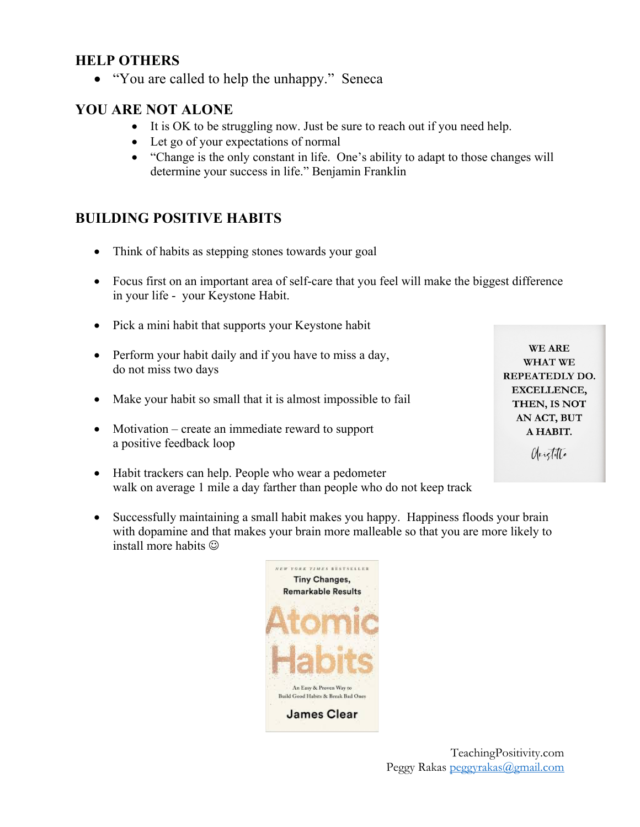#### **HELP OTHERS**

• "You are called to help the unhappy." Seneca

### **YOU ARE NOT ALONE**

- It is OK to be struggling now. Just be sure to reach out if you need help.
- Let go of your expectations of normal
- "Change is the only constant in life. One's ability to adapt to those changes will determine your success in life." Benjamin Franklin

### **BUILDING POSITIVE HABITS**

- Think of habits as stepping stones towards your goal
- Focus first on an important area of self-care that you feel will make the biggest difference in your life - your Keystone Habit.
- Pick a mini habit that supports your Keystone habit

| $\bullet$ | Perform your habit daily and if you have to miss a day,<br>do not miss two days | <b>WE ARE</b>         |
|-----------|---------------------------------------------------------------------------------|-----------------------|
|           |                                                                                 | <b>WHAT WE</b>        |
|           |                                                                                 | <b>REPEATEDLY DO.</b> |
| $\bullet$ | Make your habit so small that it is almost impossible to fail                   | <b>EXCELLENCE,</b>    |
|           |                                                                                 | THEN, IS NOT          |
|           |                                                                                 | AN ACT, BUT           |
|           | • Motivation – create an immediate reward to support                            | A HABIT.              |
|           | a positive feedback loop                                                        | Origitate             |
|           | • Habit trackers can help. People who wear a pedometer                          |                       |

- walk on average 1 mile a day farther than people who do not keep track
- Successfully maintaining a small habit makes you happy. Happiness floods your brain with dopamine and that makes your brain more malleable so that you are more likely to install more habits  $\odot$

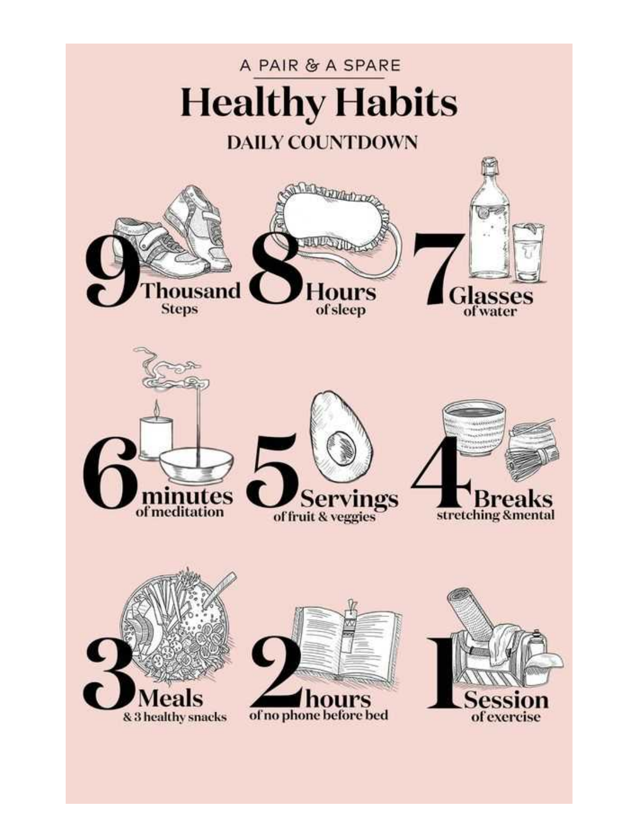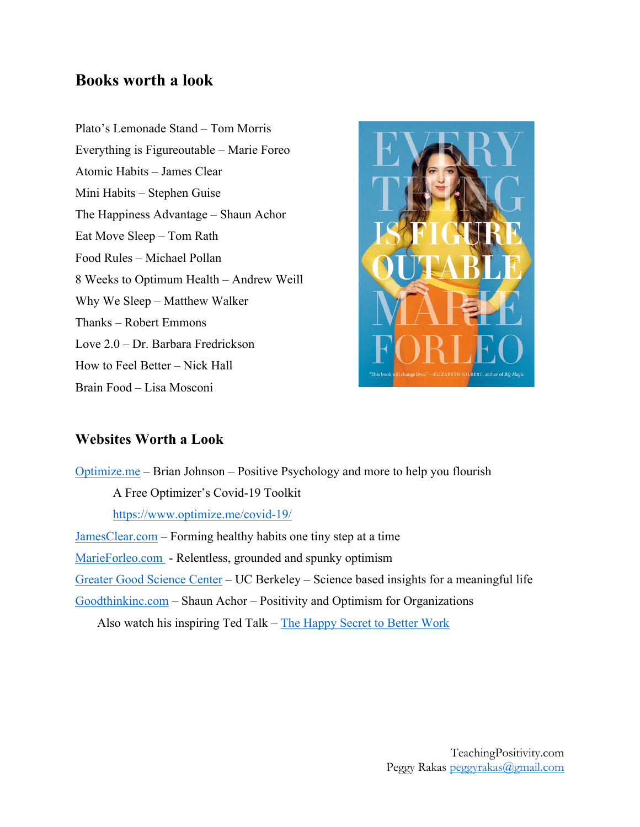### **Books worth a look**

Plato's Lemonade Stand – Tom Morris Everything is Figureoutable – Marie Foreo Atomic Habits – James Clear Mini Habits – Stephen Guise The Happiness Advantage – Shaun Achor Eat Move Sleep – Tom Rath Food Rules – Michael Pollan 8 Weeks to Optimum Health – Andrew Weill Why We Sleep – Matthew Walker Thanks – Robert Emmons Love 2.0 – Dr. Barbara Fredrickson How to Feel Better – Nick Hall Brain Food – Lisa Mosconi



#### **Websites Worth a Look**

Optimize.me – Brian Johnson – Positive Psychology and more to help you flourish A Free Optimizer's Covid-19 Toolkit https://www.optimize.me/covid-19/ JamesClear.com – Forming healthy habits one tiny step at a time MarieForleo.com - Relentless, grounded and spunky optimism Greater Good Science Center – UC Berkeley – Science based insights for a meaningful life Goodthinkinc.com – Shaun Achor – Positivity and Optimism for Organizations

Also watch his inspiring Ted Talk – The Happy Secret to Better Work